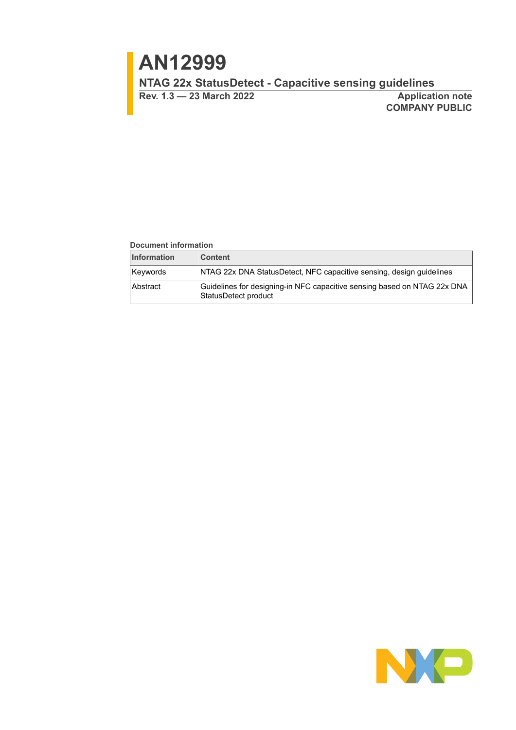# **AN12999**

**NTAG 22x StatusDetect - Capacitive sensing guidelines**

**Rev. 1.3 — 23 March 2022 Application note**

**COMPANY PUBLIC**

#### **Document information**

| <b>Information</b> | <b>Content</b>                                                                                   |
|--------------------|--------------------------------------------------------------------------------------------------|
| Kevwords           | NTAG 22x DNA StatusDetect, NFC capacitive sensing, design guidelines                             |
| Abstract           | Guidelines for designing-in NFC capacitive sensing based on NTAG 22x DNA<br>StatusDetect product |

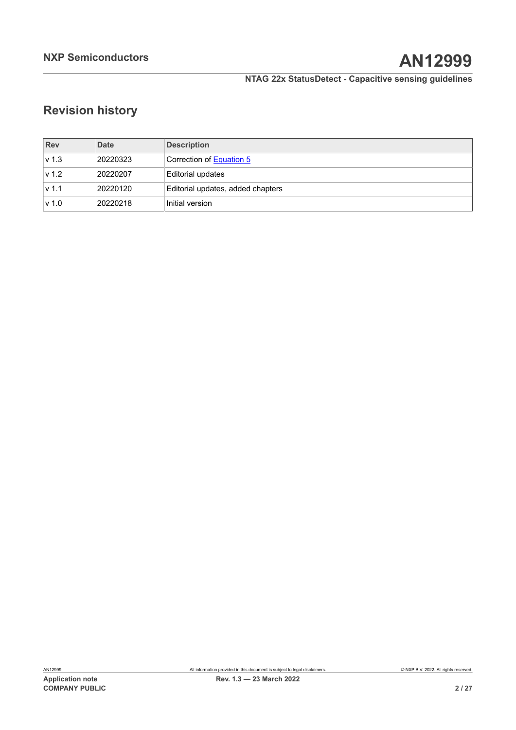# **Revision history**

| <b>Rev</b>       | Date     | <b>Description</b>                |
|------------------|----------|-----------------------------------|
| $\mathsf{v}$ 1.3 | 20220323 | Correction of Equation 5          |
| v 1.2            | 20220207 | Editorial updates                 |
| $\mathsf{v}$ 1.1 | 20220120 | Editorial updates, added chapters |
| v 1.0            | 20220218 | Initial version                   |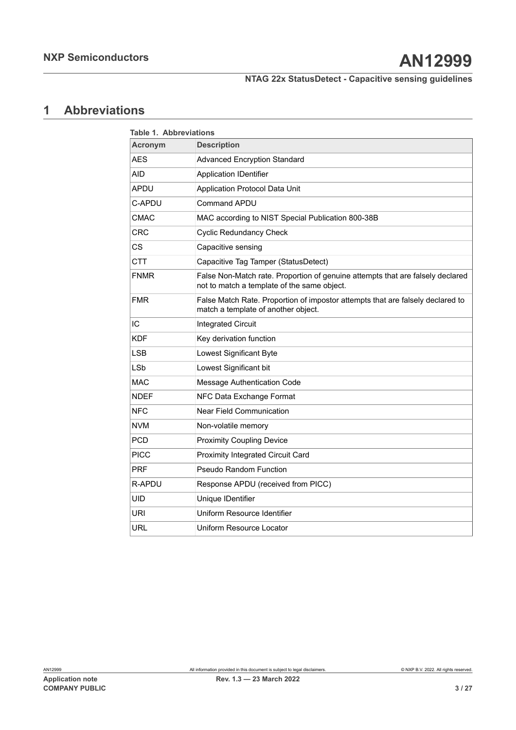## <span id="page-2-1"></span>**1 Abbreviations**

<span id="page-2-0"></span>

|                | <b>Table 1. Abbreviations</b>                                                                                                 |  |  |  |  |
|----------------|-------------------------------------------------------------------------------------------------------------------------------|--|--|--|--|
| <b>Acronym</b> | <b>Description</b>                                                                                                            |  |  |  |  |
| <b>AES</b>     | <b>Advanced Encryption Standard</b>                                                                                           |  |  |  |  |
| AID            | <b>Application IDentifier</b>                                                                                                 |  |  |  |  |
| APDU           | Application Protocol Data Unit                                                                                                |  |  |  |  |
| C-APDU         | <b>Command APDU</b>                                                                                                           |  |  |  |  |
| <b>CMAC</b>    | MAC according to NIST Special Publication 800-38B                                                                             |  |  |  |  |
| CRC            | <b>Cyclic Redundancy Check</b>                                                                                                |  |  |  |  |
| CS             | Capacitive sensing                                                                                                            |  |  |  |  |
| <b>CTT</b>     | Capacitive Tag Tamper (StatusDetect)                                                                                          |  |  |  |  |
| <b>FNMR</b>    | False Non-Match rate. Proportion of genuine attempts that are falsely declared<br>not to match a template of the same object. |  |  |  |  |
| <b>FMR</b>     | False Match Rate. Proportion of impostor attempts that are falsely declared to<br>match a template of another object.         |  |  |  |  |
| IC             | <b>Integrated Circuit</b>                                                                                                     |  |  |  |  |
| <b>KDF</b>     | Key derivation function                                                                                                       |  |  |  |  |
| LSB            | Lowest Significant Byte                                                                                                       |  |  |  |  |
| <b>LSb</b>     | Lowest Significant bit                                                                                                        |  |  |  |  |
| <b>MAC</b>     | Message Authentication Code                                                                                                   |  |  |  |  |
| <b>NDEF</b>    | NFC Data Exchange Format                                                                                                      |  |  |  |  |
| <b>NFC</b>     | <b>Near Field Communication</b>                                                                                               |  |  |  |  |
| <b>NVM</b>     | Non-volatile memory                                                                                                           |  |  |  |  |
| <b>PCD</b>     | <b>Proximity Coupling Device</b>                                                                                              |  |  |  |  |
| <b>PICC</b>    | Proximity Integrated Circuit Card                                                                                             |  |  |  |  |
| <b>PRF</b>     | <b>Pseudo Random Function</b>                                                                                                 |  |  |  |  |
| R-APDU         | Response APDU (received from PICC)                                                                                            |  |  |  |  |
| UID            | Unique IDentifier                                                                                                             |  |  |  |  |
| URI            | Uniform Resource Identifier                                                                                                   |  |  |  |  |
| URL            | Uniform Resource Locator                                                                                                      |  |  |  |  |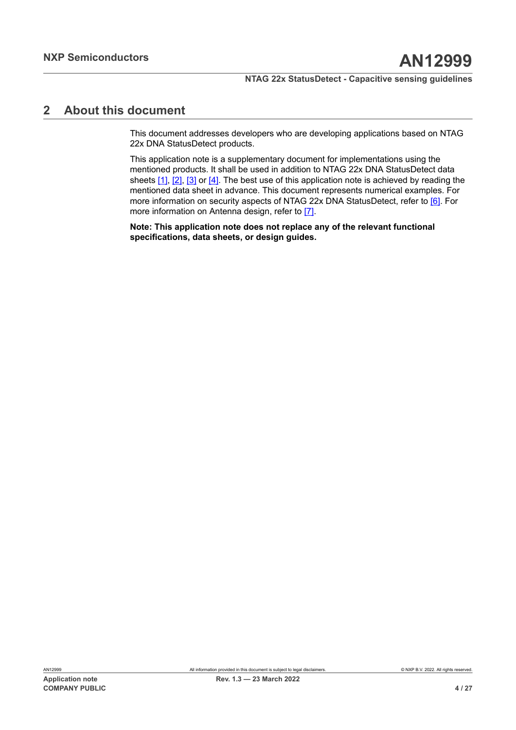## <span id="page-3-0"></span>**2 About this document**

This document addresses developers who are developing applications based on NTAG 22x DNA StatusDetect products.

This application note is a supplementary document for implementations using the mentioned products. It shall be used in addition to NTAG 22x DNA StatusDetect data sheets [\[1\]](#page-22-0), [\[2\],](#page-22-1) [\[3\]](#page-22-2) or [\[4\]](#page-22-3). The best use of this application note is achieved by reading the mentioned data sheet in advance. This document represents numerical examples. For more information on security aspects of NTAG 22x DNA StatusDetect, refer to [\[6\].](#page-22-4) For more information on Antenna design, refer to [\[7\]](#page-22-5).

**Note: This application note does not replace any of the relevant functional specifications, data sheets, or design guides.**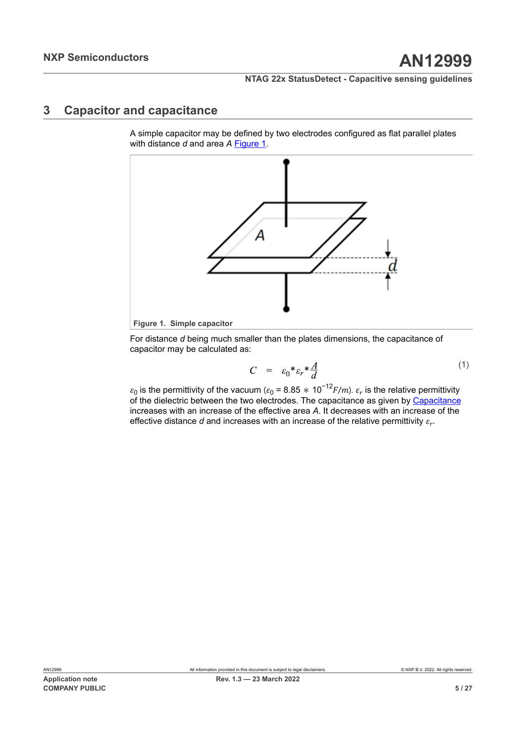## <span id="page-4-2"></span>**3 Capacitor and capacitance**

A simple capacitor may be defined by two electrodes configured as flat parallel plates with distance *d* and area *A* [Figure 1](#page-4-0).

<span id="page-4-0"></span>

For distance *d* being much smaller than the plates dimensions, the capacitance of capacitor may be calculated as:

$$
C = \varepsilon_0 * \varepsilon_r * \frac{A}{d} \tag{1}
$$

<span id="page-4-1"></span> $\varepsilon_0$  is the permittivity of the vacuum ( $\varepsilon_0$  = 8.85  $*$  10<sup>−12</sup> $F/m$ ).  $\varepsilon_r$  is the relative permittivity of the dielectric between the two electrodes. The capacitance as given by [Capacitance](#page-4-1) increases with an increase of the effective area *A*. It decreases with an increase of the effective distance  $d$  and increases with an increase of the relative permittivity  $\varepsilon_{r\cdot}$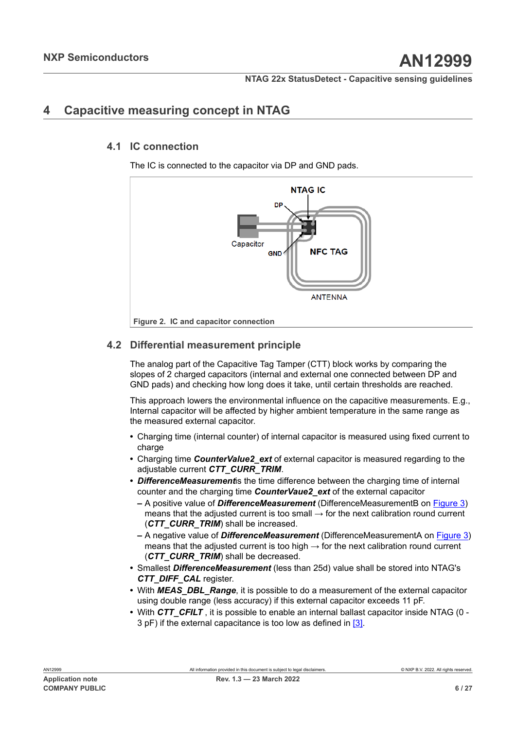## <span id="page-5-1"></span>**4 Capacitive measuring concept in NTAG**

## **4.1 IC connection**

<span id="page-5-2"></span>The IC is connected to the capacitor via DP and GND pads.

<span id="page-5-0"></span>

## <span id="page-5-3"></span>**4.2 Differential measurement principle**

The analog part of the Capacitive Tag Tamper (CTT) block works by comparing the slopes of 2 charged capacitors (internal and external one connected between DP and GND pads) and checking how long does it take, until certain thresholds are reached.

This approach lowers the environmental influence on the capacitive measurements. E.g., Internal capacitor will be affected by higher ambient temperature in the same range as the measured external capacitor.

- **•** Charging time (internal counter) of internal capacitor is measured using fixed current to charge
- **•** Charging time *CounterValue2\_ext* of external capacitor is measured regarding to the adjustable current *CTT\_CURR\_TRIM*.
- **•** *DifferenceMeasurement*is the time difference between the charging time of internal counter and the charging time *CounterVaue2\_ext* of the external capacitor
	- **–** A positive value of *DifferenceMeasurement* (DifferenceMeasurementB on [Figure 3\)](#page-6-0) means that the adjusted current is too small  $\rightarrow$  for the next calibration round current (*CTT\_CURR\_TRIM*) shall be increased.
	- **–** A negative value of *DifferenceMeasurement* (DifferenceMeasurementA on [Figure 3](#page-6-0)) means that the adjusted current is too high  $\rightarrow$  for the next calibration round current (*CTT\_CURR\_TRIM*) shall be decreased.
- **•** Smallest *DifferenceMeasurement* (less than 25d) value shall be stored into NTAG's *CTT\_DIFF\_CAL* register.
- **•** With *MEAS\_DBL\_Range*, it is possible to do a measurement of the external capacitor using double range (less accuracy) if this external capacitor exceeds 11 pF.
- With CTT CFILT, it is possible to enable an internal ballast capacitor inside NTAG (0 -3 pF) if the external capacitance is too low as defined in [\[3\]](#page-22-2).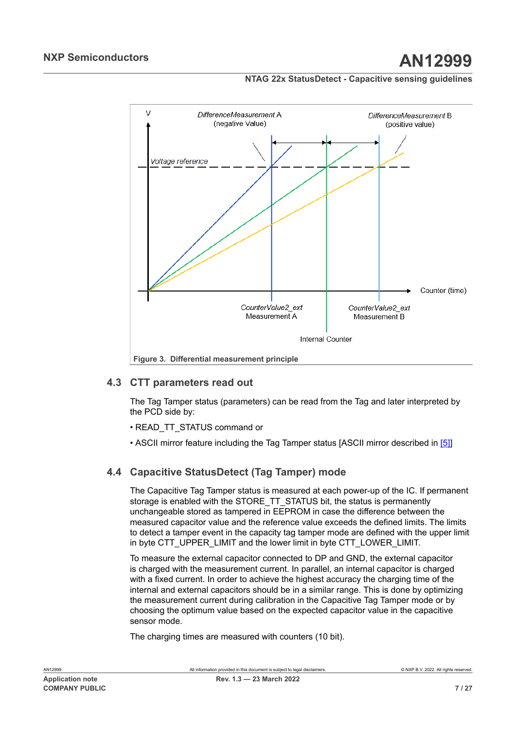<span id="page-6-0"></span>

## **4.3 CTT parameters read out**

<span id="page-6-1"></span>The Tag Tamper status (parameters) can be read from the Tag and later interpreted by the PCD side by:

- READ\_TT\_STATUS command or
- ASCII mirror feature including the Tag Tamper status [ASCII mirror described in [\[5\]](#page-22-6)]

## **4.4 Capacitive StatusDetect (Tag Tamper) mode**

<span id="page-6-2"></span>The Capacitive Tag Tamper status is measured at each power-up of the IC. If permanent storage is enabled with the STORE\_TT\_STATUS bit, the status is permanently unchangeable stored as tampered in EEPROM in case the difference between the measured capacitor value and the reference value exceeds the defined limits. The limits to detect a tamper event in the capacity tag tamper mode are defined with the upper limit in byte CTT\_UPPER\_LIMIT and the lower limit in byte CTT\_LOWER\_LIMIT.

To measure the external capacitor connected to DP and GND, the external capacitor is charged with the measurement current. In parallel, an internal capacitor is charged with a fixed current. In order to achieve the highest accuracy the charging time of the internal and external capacitors should be in a similar range. This is done by optimizing the measurement current during calibration in the Capacitive Tag Tamper mode or by choosing the optimum value based on the expected capacitor value in the capacitive sensor mode.

The charging times are measured with counters (10 bit).

AN12999 All information provided in this document is subject to legal disclaimers. © NXP B.V. 2022. All rights reserved.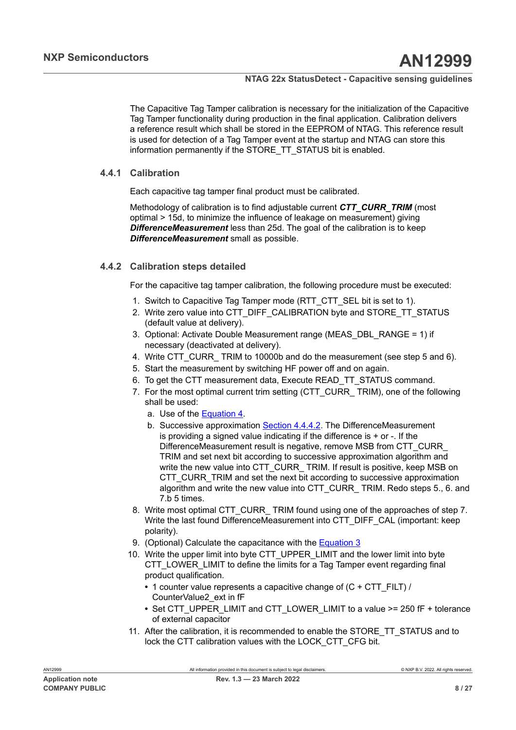The Capacitive Tag Tamper calibration is necessary for the initialization of the Capacitive Tag Tamper functionality during production in the final application. Calibration delivers a reference result which shall be stored in the EEPROM of NTAG. This reference result is used for detection of a Tag Tamper event at the startup and NTAG can store this information permanently if the STORE\_TT\_STATUS bit is enabled.

## **4.4.1 Calibration**

<span id="page-7-1"></span>Each capacitive tag tamper final product must be calibrated.

Methodology of calibration is to find adjustable current *CTT\_CURR\_TRIM* (most optimal > 15d, to minimize the influence of leakage on measurement) giving *DifferenceMeasurement* less than 25d. The goal of the calibration is to keep *DifferenceMeasurement* small as possible.

## **4.4.2 Calibration steps detailed**

<span id="page-7-0"></span>For the capacitive tag tamper calibration, the following procedure must be executed:

- 1. Switch to Capacitive Tag Tamper mode (RTT\_CTT\_SEL bit is set to 1).
- 2. Write zero value into CTT\_DIFF\_CALIBRATION byte and STORE\_TT\_STATUS (default value at delivery).
- 3. Optional: Activate Double Measurement range (MEAS\_DBL\_RANGE = 1) if necessary (deactivated at delivery).
- 4. Write CTT\_CURR\_ TRIM to 10000b and do the measurement (see step 5 and 6).
- 5. Start the measurement by switching HF power off and on again.
- 6. To get the CTT measurement data, Execute READ\_TT\_STATUS command.
- 7. For the most optimal current trim setting (CTT\_CURR\_ TRIM), one of the following shall be used:
	- a. Use of the [Equation 4](#page-9-0).
	- b. Successive approximation [Section 4.4.4.2.](#page-9-1) The DifferenceMeasurement is providing a signed value indicating if the difference is  $+$  or  $-$ . If the DifferenceMeasurement result is negative, remove MSB from CTT\_CURR\_ TRIM and set next bit according to successive approximation algorithm and write the new value into CTT\_CURR\_ TRIM. If result is positive, keep MSB on CTT\_CURR\_TRIM and set the next bit according to successive approximation algorithm and write the new value into CTT\_CURR\_ TRIM. Redo steps 5., 6. and 7.b 5 times.
- 8. Write most optimal CTT\_CURR\_ TRIM found using one of the approaches of step 7. Write the last found DifferenceMeasurement into CTT\_DIFF\_CAL (important: keep polarity).
- 9. (Optional) Calculate the capacitance with the [Equation 3](#page-9-2)
- 10. Write the upper limit into byte CTT\_UPPER\_LIMIT and the lower limit into byte CTT\_LOWER\_LIMIT to define the limits for a Tag Tamper event regarding final product qualification.
	- **•** 1 counter value represents a capacitive change of (C + CTT\_FILT) / CounterValue2\_ext in fF
	- **•** Set CTT\_UPPER\_LIMIT and CTT\_LOWER\_LIMIT to a value >= 250 fF + tolerance of external capacitor
- 11. After the calibration, it is recommended to enable the STORE\_TT\_STATUS and to lock the CTT calibration values with the LOCK\_CTT\_CFG bit.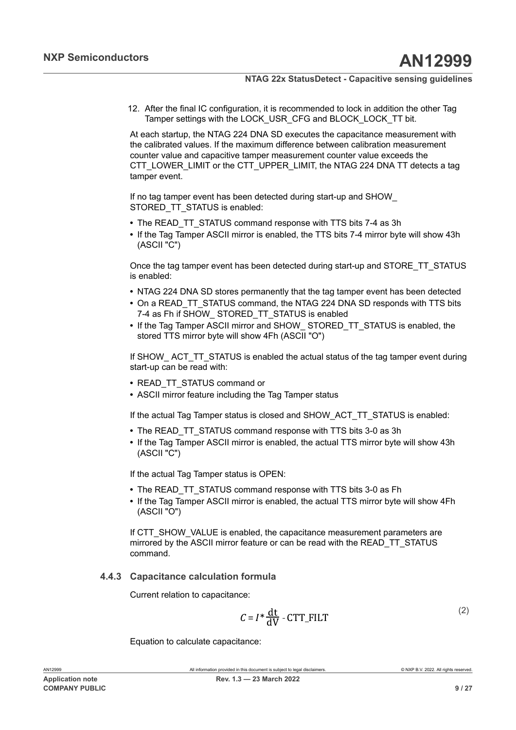12. After the final IC configuration, it is recommended to lock in addition the other Tag Tamper settings with the LOCK\_USR\_CFG and BLOCK\_LOCK\_TT bit.

At each startup, the NTAG 224 DNA SD executes the capacitance measurement with the calibrated values. If the maximum difference between calibration measurement counter value and capacitive tamper measurement counter value exceeds the CTT\_LOWER\_LIMIT or the CTT\_UPPER\_LIMIT, the NTAG 224 DNA TT detects a tag tamper event.

If no tag tamper event has been detected during start-up and SHOW\_ STORED\_TT\_STATUS is enabled:

- **•** The READ\_TT\_STATUS command response with TTS bits 7-4 as 3h
- **•** If the Tag Tamper ASCII mirror is enabled, the TTS bits 7-4 mirror byte will show 43h (ASCII "C")

Once the tag tamper event has been detected during start-up and STORE\_TT\_STATUS is enabled:

- **•** NTAG 224 DNA SD stores permanently that the tag tamper event has been detected
- On a READ TT\_STATUS command, the NTAG 224 DNA SD responds with TTS bits 7-4 as Fh if SHOW\_ STORED\_TT\_STATUS is enabled
- **•** If the Tag Tamper ASCII mirror and SHOW\_ STORED\_TT\_STATUS is enabled, the stored TTS mirror byte will show 4Fh (ASCII "O")

If SHOW ACT TT STATUS is enabled the actual status of the tag tamper event during start-up can be read with:

- **•** READ\_TT\_STATUS command or
- **•** ASCII mirror feature including the Tag Tamper status

If the actual Tag Tamper status is closed and SHOW\_ACT\_TT\_STATUS is enabled:

- **•** The READ\_TT\_STATUS command response with TTS bits 3-0 as 3h
- **•** If the Tag Tamper ASCII mirror is enabled, the actual TTS mirror byte will show 43h (ASCII "C")

If the actual Tag Tamper status is OPEN:

- **•** The READ\_TT\_STATUS command response with TTS bits 3-0 as Fh
- **•** If the Tag Tamper ASCII mirror is enabled, the actual TTS mirror byte will show 4Fh (ASCII "O")

If CTT\_SHOW\_VALUE is enabled, the capacitance measurement parameters are mirrored by the ASCII mirror feature or can be read with the READ\_TT\_STATUS command.

## **4.4.3 Capacitance calculation formula**

<span id="page-8-0"></span>Current relation to capacitance:

$$
C = I^* \frac{dt}{dV} - CTT\_FILT
$$
 (2)

Equation to calculate capacitance: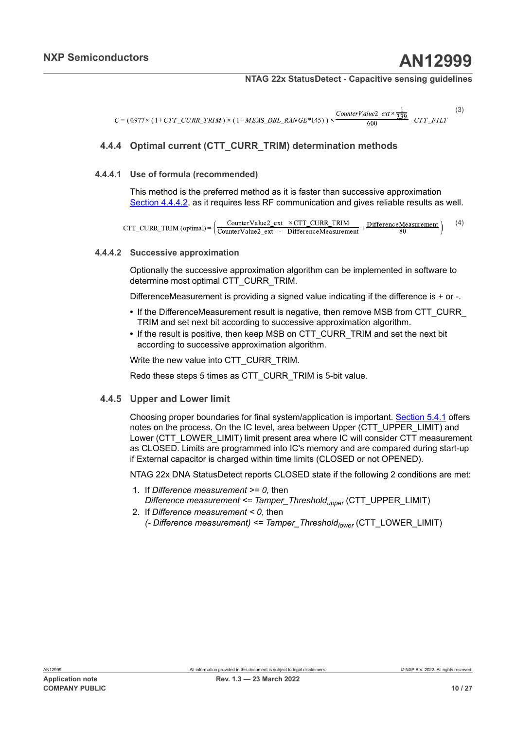<span id="page-9-2"></span>
$$
C = (0.977 \times (1 + CTT\_CURR\_TRIM) \times (1 + MEAS\_DBL\_RANGE*145)) \times \frac{CounterValue2\_ext \times \frac{1}{3.39}}{600} - CTT\_FILT
$$
 (3)

## <span id="page-9-4"></span>**4.4.4 Optimal current (CTT\_CURR\_TRIM) determination methods**

#### **4.4.4.1 Use of formula (recommended)**

<span id="page-9-3"></span>This method is the preferred method as it is faster than successive approximation [Section 4.4.4.2,](#page-9-1) as it requires less RF communication and gives reliable results as well.

<span id="page-9-0"></span> $\text{CTT\_CURR\_TRIM (optimal)} = \left(\frac{\text{CounterValue2\_ext } \times \text{CTT\_CUR\_TRIM}}{\text{CounterValue2\_ext } - \text{ Difference Measurement}} + \frac{\text{DifferenceMeasurement}}{80}\right)$ (4)

#### **4.4.4.2 Successive approximation**

<span id="page-9-1"></span>Optionally the successive approximation algorithm can be implemented in software to determine most optimal CTT\_CURR\_TRIM.

DifferenceMeasurement is providing a signed value indicating if the difference is + or -.

- If the DifferenceMeasurement result is negative, then remove MSB from CTT\_CURR TRIM and set next bit according to successive approximation algorithm.
- **•** If the result is positive, then keep MSB on CTT\_CURR\_TRIM and set the next bit according to successive approximation algorithm.

Write the new value into CTT\_CURR\_TRIM.

<span id="page-9-5"></span>Redo these steps 5 times as CTT\_CURR\_TRIM is 5-bit value.

#### **4.4.5 Upper and Lower limit**

Choosing proper boundaries for final system/application is important. [Section 5.4.1](#page-19-0) offers notes on the process. On the IC level, area between Upper (CTT\_UPPER\_LIMIT) and Lower (CTT\_LOWER\_LIMIT) limit present area where IC will consider CTT measurement as CLOSED. Limits are programmed into IC's memory and are compared during start-up if External capacitor is charged within time limits (CLOSED or not OPENED).

NTAG 22x DNA StatusDetect reports CLOSED state if the following 2 conditions are met:

- 1. If *Difference measurement >= 0*, then *Difference measurement <= Tamper\_Thresholdupper* (CTT\_UPPER\_LIMIT)
- 2. If *Difference measurement < 0*, then *(- Difference measurement) <= Tamper\_Thresholdlower* (CTT\_LOWER\_LIMIT)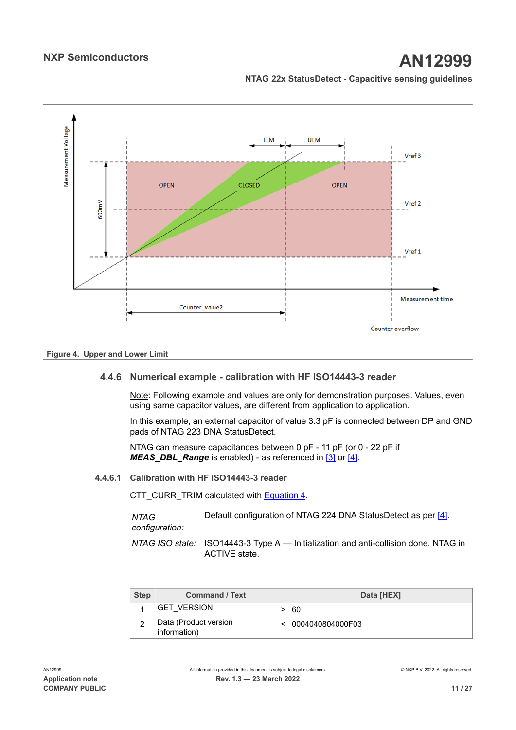## **NXP Semiconductors AN12999**

### **NTAG 22x StatusDetect - Capacitive sensing guidelines**

<span id="page-10-0"></span>

## **4.4.6 Numerical example - calibration with HF ISO14443-3 reader**

<span id="page-10-1"></span>Note: Following example and values are only for demonstration purposes. Values, even using same capacitor values, are different from application to application.

In this example, an external capacitor of value 3.3 pF is connected between DP and GND pads of NTAG 223 DNA StatusDetect.

NTAG can measure capacitances between 0 pF - 11 pF (or 0 - 22 pF if *MEAS DBL Range* is enabled) - as referenced in [\[3\]](#page-22-2) or [\[4\].](#page-22-3)

#### **4.4.6.1 Calibration with HF ISO14443-3 reader**

<span id="page-10-2"></span>CTT\_CURR\_TRIM calculated with [Equation 4.](#page-9-0)

*NTAG configuration:* Default configuration of NTAG 224 DNA StatusDetect as per [\[4\]](#page-22-3).

*NTAG ISO state:* ISO14443-3 Type A — Initialization and anti-collision done. NTAG in ACTIVE state.

| <b>Step</b> | <b>Command / Text</b>                 | Data [HEX]       |
|-------------|---------------------------------------|------------------|
|             | 'GET VERSION                          | 60               |
|             | Data (Product version<br>information) | 0004040804000F03 |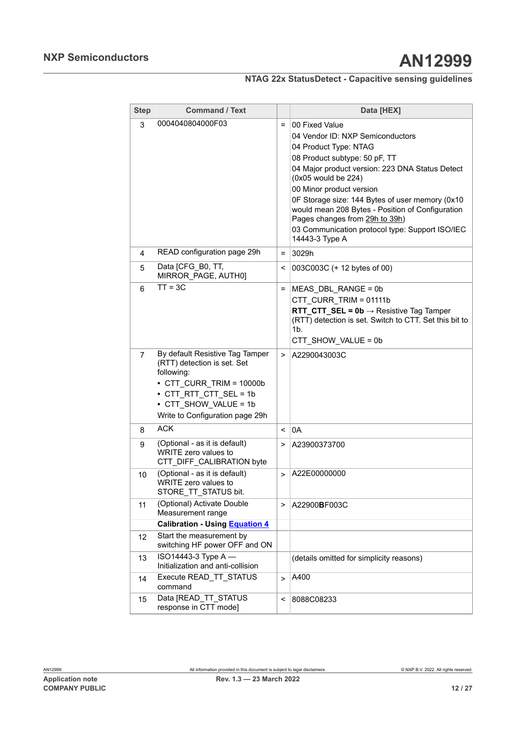| <b>Step</b>    | <b>Command / Text</b>                                                                                                                                                                                |                          | Data [HEX]                                                                                                                                                                                                                                                                                                                                                                                                                       |
|----------------|------------------------------------------------------------------------------------------------------------------------------------------------------------------------------------------------------|--------------------------|----------------------------------------------------------------------------------------------------------------------------------------------------------------------------------------------------------------------------------------------------------------------------------------------------------------------------------------------------------------------------------------------------------------------------------|
| 3              | 0004040804000F03                                                                                                                                                                                     | $=$                      | 00 Fixed Value<br>04 Vendor ID: NXP Semiconductors<br>04 Product Type: NTAG<br>08 Product subtype: 50 pF, TT<br>04 Major product version: 223 DNA Status Detect<br>(0x05 would be 224)<br>00 Minor product version<br>OF Storage size: 144 Bytes of user memory (0x10<br>would mean 208 Bytes - Position of Configuration<br>Pages changes from 29h to 39h)<br>03 Communication protocol type: Support ISO/IEC<br>14443-3 Type A |
| 4              | READ configuration page 29h                                                                                                                                                                          | $=$                      | 3029h                                                                                                                                                                                                                                                                                                                                                                                                                            |
| 5              | Data [CFG_B0, TT,<br>MIRROR_PAGE, AUTH0]                                                                                                                                                             | <                        | 003C003C (+ 12 bytes of 00)                                                                                                                                                                                                                                                                                                                                                                                                      |
| 6              | $TT = 3C$                                                                                                                                                                                            | =                        | MEAS_DBL_RANGE = 0b<br>CTT CURR TRIM = 01111b<br><b>RTT CTT SEL = 0b</b> $\rightarrow$ Resistive Tag Tamper<br>(RTT) detection is set. Switch to CTT. Set this bit to<br>1b.<br>CTT SHOW VALUE = 0b                                                                                                                                                                                                                              |
| $\overline{7}$ | By default Resistive Tag Tamper<br>(RTT) detection is set. Set<br>following:<br>$\cdot$ CTT CURR TRIM = 10000b<br>• CTT RTT CTT SEL = 1b<br>• CTT SHOW VALUE = 1b<br>Write to Configuration page 29h | $\geq$                   | A2290043003C                                                                                                                                                                                                                                                                                                                                                                                                                     |
| 8              | <b>ACK</b>                                                                                                                                                                                           | $\overline{\phantom{0}}$ | 0A                                                                                                                                                                                                                                                                                                                                                                                                                               |
| 9              | (Optional - as it is default)<br>WRITE zero values to<br>CTT_DIFF_CALIBRATION byte                                                                                                                   | >                        | A23900373700                                                                                                                                                                                                                                                                                                                                                                                                                     |
| 10             | (Optional - as it is default)<br>WRITE zero values to<br>STORE_TT_STATUS bit.                                                                                                                        | $\geq$                   | A22E00000000                                                                                                                                                                                                                                                                                                                                                                                                                     |
| 11             | (Optional) Activate Double<br>Measurement range                                                                                                                                                      | $\, > \,$                | A22900BF003C                                                                                                                                                                                                                                                                                                                                                                                                                     |
|                | <b>Calibration - Using Equation 4</b>                                                                                                                                                                |                          |                                                                                                                                                                                                                                                                                                                                                                                                                                  |
| 12             | Start the measurement by<br>switching HF power OFF and ON                                                                                                                                            |                          |                                                                                                                                                                                                                                                                                                                                                                                                                                  |
| 13             | ISO14443-3 Type A -<br>Initialization and anti-collision                                                                                                                                             |                          | (details omitted for simplicity reasons)                                                                                                                                                                                                                                                                                                                                                                                         |
| 14             | Execute READ TT STATUS<br>command                                                                                                                                                                    | $\geq$                   | A400                                                                                                                                                                                                                                                                                                                                                                                                                             |
| 15             | Data [READ TT STATUS<br>response in CTT mode]                                                                                                                                                        | <                        | 8088C08233                                                                                                                                                                                                                                                                                                                                                                                                                       |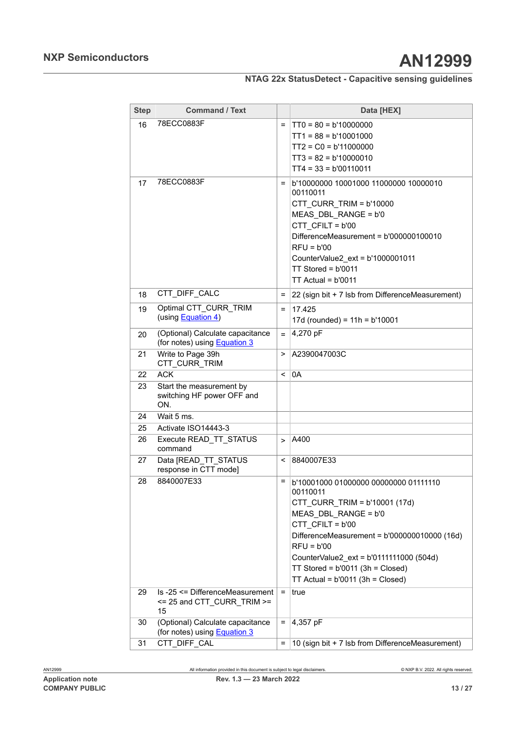# **NXP Semiconductors AN12999**

## **NTAG 22x StatusDetect - Capacitive sensing guidelines**

| <b>Step</b> | <b>Command / Text</b>                                                   |          | Data [HEX]                                                                                                                                                                                                                                                                                                            |
|-------------|-------------------------------------------------------------------------|----------|-----------------------------------------------------------------------------------------------------------------------------------------------------------------------------------------------------------------------------------------------------------------------------------------------------------------------|
| 16          | 78ECC0883F                                                              | $=$      | $TT0 = 80 = b'10000000$<br>$TT1 = 88 = b'10001000$<br>$TT2 = CO = b'11000000$<br>$TT3 = 82 = b'10000010$<br>$TT4 = 33 = b'00110011$                                                                                                                                                                                   |
| 17          | 78ECC0883F                                                              | $\equiv$ | b'10000000 10001000 11000000 10000010<br>00110011<br>CTT_CURR_TRIM = b'10000<br>MEAS DBL RANGE = b'0<br>CTT CFILT = b'00<br>DifferenceMeasurement = b'000000100010<br>$RFU = b'00$<br>CounterValue2_ext = b'1000001011<br>$TT$ Stored = $b'0011$<br>$TT$ Actual = $b'0011$                                            |
| 18          | CTT DIFF CALC                                                           | Ξ        | 22 (sign bit + 7 lsb from DifferenceMeasurement)                                                                                                                                                                                                                                                                      |
| 19          | Optimal CTT CURR TRIM<br>(using Equation 4)                             | $=$      | 17.425<br>17d (rounded) = $11h = b'10001$                                                                                                                                                                                                                                                                             |
| 20          | (Optional) Calculate capacitance<br>(for notes) using <b>Equation 3</b> | $=$      | 4,270 pF                                                                                                                                                                                                                                                                                                              |
| 21          | Write to Page 39h<br>CTT_CURR_TRIM                                      | >        | A2390047003C                                                                                                                                                                                                                                                                                                          |
| 22          | <b>ACK</b>                                                              | $\,<\,$  | 0A                                                                                                                                                                                                                                                                                                                    |
| 23          | Start the measurement by<br>switching HF power OFF and<br>ON.           |          |                                                                                                                                                                                                                                                                                                                       |
| 24          | Wait 5 ms.                                                              |          |                                                                                                                                                                                                                                                                                                                       |
| 25          | Activate ISO14443-3                                                     |          |                                                                                                                                                                                                                                                                                                                       |
| 26          | Execute READ TT STATUS<br>command                                       | $\geq$   | A400                                                                                                                                                                                                                                                                                                                  |
| 27          | Data [READ_TT_STATUS<br>response in CTT mode]                           | $\prec$  | 8840007E33                                                                                                                                                                                                                                                                                                            |
| 28          | 8840007E33                                                              | Ξ        | b'10001000 01000000 00000000 01111110<br>00110011<br>CTT_CURR_TRIM = b'10001 (17d)<br>MEAS_DBL_RANGE = b'0<br>CTT CFILT = b'00<br>DifferenceMeasurement = b'000000010000 (16d)<br>$RFU = b'00$<br>CounterValue2 ext = b'0111111000 (504d)<br>TT Stored = $b'0011$ (3h = Closed)<br>TT Actual = $b'0011$ (3h = Closed) |
| 29          | Is -25 <= DifferenceMeasurement<br><= 25 and CTT CURR TRIM >=<br>15     | $=$      | true                                                                                                                                                                                                                                                                                                                  |
| 30          | (Optional) Calculate capacitance<br>(for notes) using <b>Equation 3</b> | =        | 4,357 pF                                                                                                                                                                                                                                                                                                              |
| 31          | CTT_DIFF_CAL                                                            | $=$      | 10 (sign bit + 7 lsb from DifferenceMeasurement)                                                                                                                                                                                                                                                                      |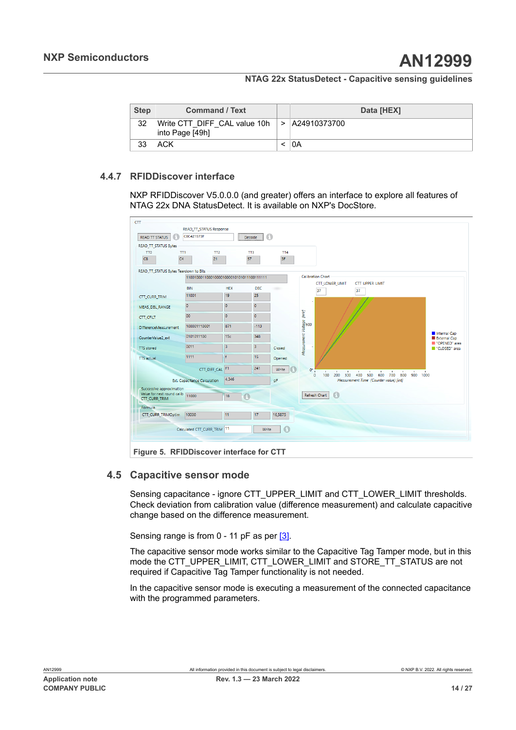| <b>Step</b> | <b>Command / Text</b>                           |        | Data [HEX]   |
|-------------|-------------------------------------------------|--------|--------------|
| 32          | Write CTT DIFF CAL value 10h<br>into Page [49h] | $\geq$ | A24910373700 |
| 33          | ACK                                             |        | 0Α           |

## **4.4.7 RFIDDiscover interface**

<span id="page-13-1"></span>NXP RFIDDiscover V5.0.0.0 (and greater) offers an interface to explore all features of NTAG 22x DNA StatusDetect. It is available on NXP's DocStore.

<span id="page-13-0"></span>

## **4.5 Capacitive sensor mode**

<span id="page-13-2"></span>Sensing capacitance - ignore CTT\_UPPER\_LIMIT and CTT\_LOWER\_LIMIT thresholds. Check deviation from calibration value (difference measurement) and calculate capacitive change based on the difference measurement.

Sensing range is from 0 - 11 pF as per [\[3\].](#page-22-2)

The capacitive sensor mode works similar to the Capacitive Tag Tamper mode, but in this mode the CTT\_UPPER\_LIMIT, CTT\_LOWER\_LIMIT and STORE\_TT\_STATUS are not required if Capacitive Tag Tamper functionality is not needed.

In the capacitive sensor mode is executing a measurement of the connected capacitance with the programmed parameters.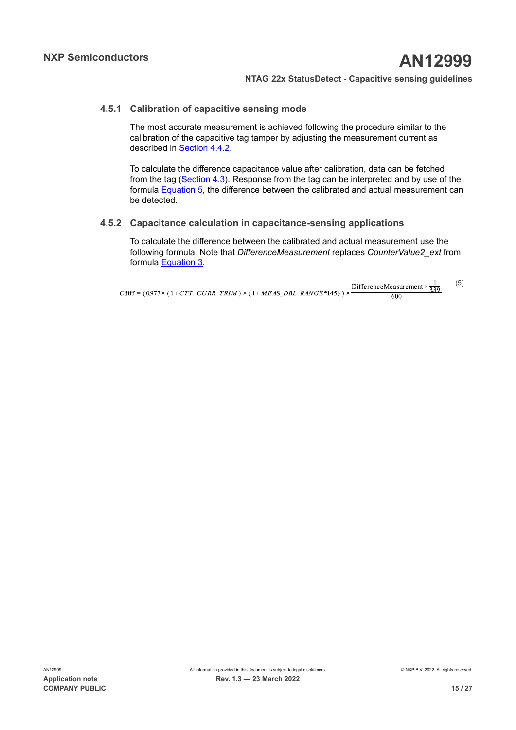### **4.5.1 Calibration of capacitive sensing mode**

<span id="page-14-1"></span>The most accurate measurement is achieved following the procedure similar to the calibration of the capacitive tag tamper by adjusting the measurement current as described in [Section 4.4.2.](#page-7-0)

To calculate the difference capacitance value after calibration, data can be fetched from the tag [\(Section 4.3](#page-6-1)). Response from the tag can be interpreted and by use of the formula [Equation 5,](#page-14-0) the difference between the calibrated and actual measurement can be detected.

## **4.5.2 Capacitance calculation in capacitance-sensing applications**

<span id="page-14-2"></span>To calculate the difference between the calibrated and actual measurement use the following formula. Note that *DifferenceMeasurement* replaces *CounterValue2\_ext* from formula [Equation 3.](#page-9-2)

<span id="page-14-0"></span>(5) DifferenceMeasurement  $\times \frac{1}{339}$ Cdiff =  $(0.977 \times (1+CTT CVRR T RIM) \times (1+MEAS DBL RANGE*145)) \times$  $600$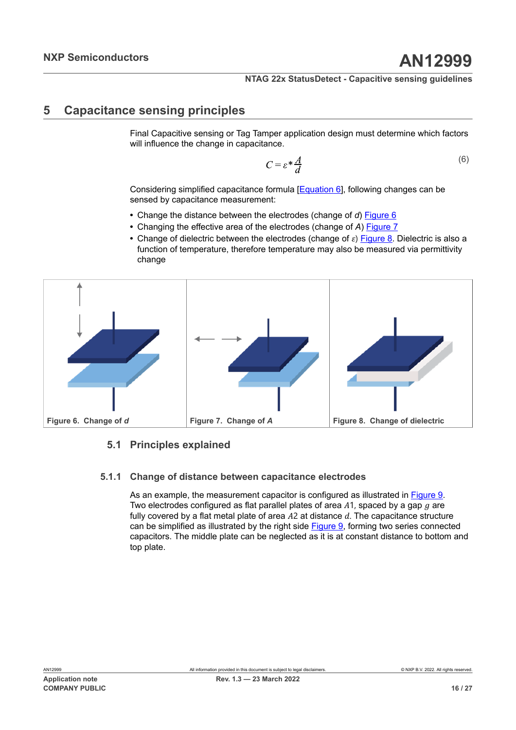## <span id="page-15-4"></span>**5 Capacitance sensing principles**

<span id="page-15-0"></span>Final Capacitive sensing or Tag Tamper application design must determine which factors will influence the change in capacitance.

<span id="page-15-3"></span>
$$
C = \varepsilon^* \frac{A}{d} \tag{6}
$$

Considering simplified capacitance formula [[Equation 6](#page-15-0)], following changes can be sensed by capacitance measurement:

- **•** Change the distance between the electrodes (change of *d*) [Figure 6](#page-15-1)
- **•** Changing the effective area of the electrodes (change of *A*) [Figure 7](#page-15-2)
- <span id="page-15-2"></span>• Change of dielectric between the electrodes (change of  $\varepsilon$ ) [Figure 8.](#page-15-3) Dielectric is also a function of temperature, therefore temperature may also be measured via permittivity change

<span id="page-15-1"></span>

## <span id="page-15-5"></span>**5.1 Principles explained**

#### **5.1.1 Change of distance between capacitance electrodes**

<span id="page-15-6"></span>As an example, the measurement capacitor is configured as illustrated in [Figure 9](#page-16-0). Two electrodes configured as flat parallel plates of area  $A1$ , spaced by a gap  $g$  are fully covered by a flat metal plate of area  $A2$  at distance  $d$ . The capacitance structure can be simplified as illustrated by the right side [Figure 9](#page-16-0), forming two series connected capacitors. The middle plate can be neglected as it is at constant distance to bottom and top plate.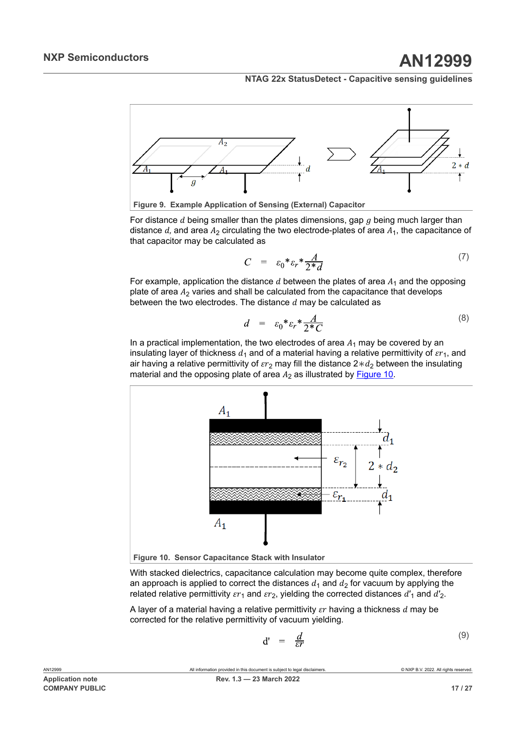<span id="page-16-0"></span>

For distance  $d$  being smaller than the plates dimensions, gap  $g$  being much larger than distance d, and area  $A_2$  circulating the two electrode-plates of area  $A_1$ , the capacitance of that capacitor may be calculated as

$$
C = \varepsilon_0 * \varepsilon_r * \frac{A}{2 * d} \tag{7}
$$

For example, application the distance  $d$  between the plates of area  $A_1$  and the opposing plate of area  $A_2$  varies and shall be calculated from the capacitance that develops between the two electrodes. The distance  $d$  may be calculated as

$$
d = \varepsilon_0 * \varepsilon_r * \frac{A}{2 * C} \tag{8}
$$

In a practical implementation, the two electrodes of area  $A_1$  may be covered by an insulating layer of thickness  $d_1$  and of a material having a relative permittivity of  $\epsilon r_1$ , and air having a relative permittivity of  $\epsilon r_2$  may fill the distance 2 $*d_2$  between the insulating material and the opposing plate of area  $A_2$  as illustrated by [Figure 10.](#page-16-1)

<span id="page-16-1"></span>

With stacked dielectrics, capacitance calculation may become quite complex, therefore an approach is applied to correct the distances  $d_1$  and  $d_2$  for vacuum by applying the related relative permittivity  $\epsilon r_1$  and  $\epsilon r_2$ , yielding the corrected distances  $d'_1$  and  $d'_2$ .

A layer of a material having a relative permittivity  $\epsilon r$  having a thickness  $d$  may be corrected for the relative permittivity of vacuum yielding.

$$
\mathbf{d'} = \frac{d}{\varepsilon r} \tag{9}
$$

**COMPANY PUBLIC 17 / 27**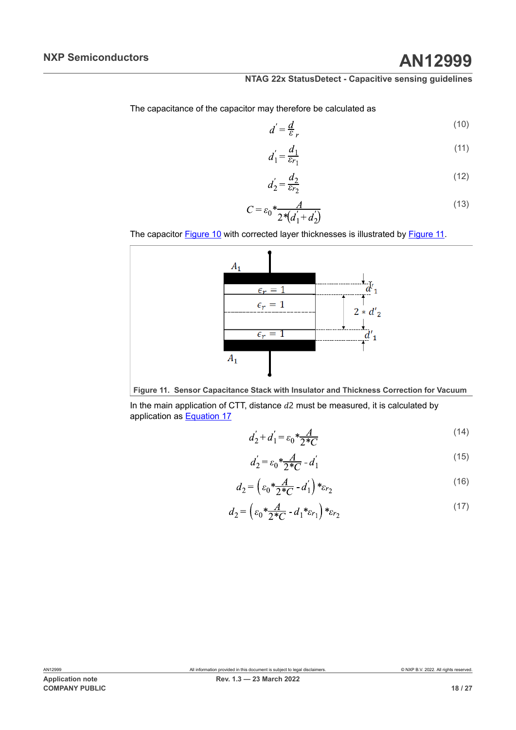The capacitance of the capacitor may therefore be calculated as

$$
d' = \frac{d}{\varepsilon_r} \tag{10}
$$

$$
d_1' = \frac{d_1}{\varepsilon_{r_1}}\tag{11}
$$

$$
d_2' = \frac{d_2}{\varepsilon_{r_2}}\tag{12}
$$

$$
C = \varepsilon_0 \frac{A}{2 \sqrt[4]{d_1' + d_2'}} \tag{13}
$$

<span id="page-17-0"></span>The capacitor **[Figure](#page-17-0) 10** with corrected layer thicknesses is illustrated by **Figure 11**.



**Figure 11. Sensor Capacitance Stack with Insulator and Thickness Correction for Vacuum**

In the main application of CTT, distance  $d2$  must be measured, it is calculated by application as [Equation 17](#page-17-1)

$$
d_2' + d_1' = \varepsilon_0 * \frac{A}{2*C} \tag{14}
$$

$$
d_2' = \varepsilon_0 \frac{A}{2*C} - d_1' \tag{15}
$$

$$
d_2 = \left(\varepsilon_0 \frac{*A}{2*C} - d_1'\right) * \varepsilon_{r_2} \tag{16}
$$

<span id="page-17-1"></span>
$$
d_2 = \left(\varepsilon_0 \frac{*A}{2*C} - d_1 * \varepsilon_{r_1}\right) * \varepsilon_{r_2} \tag{17}
$$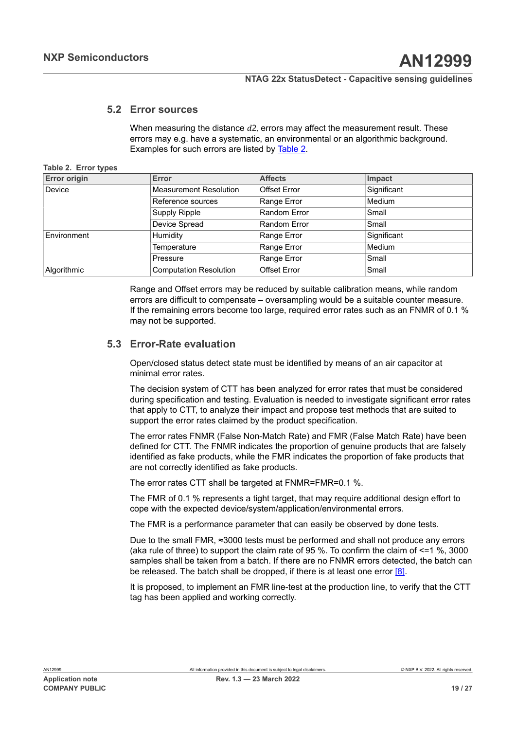## **5.2 Error sources**

<span id="page-18-1"></span><span id="page-18-0"></span>When measuring the distance  $d^2$ , errors may affect the measurement result. These errors may e.g. have a systematic, an environmental or an algorithmic background. Examples for such errors are listed by [Table](#page-18-0) 2.

#### **Table 2. Error types**

| <b>Error origin</b> | <b>Error</b>                  | <b>Affects</b>      | Impact      |
|---------------------|-------------------------------|---------------------|-------------|
| Device              | <b>Measurement Resolution</b> | <b>Offset Error</b> | Significant |
|                     | Reference sources             | Range Error         | Medium      |
|                     | <b>Supply Ripple</b>          | Random Error        | Small       |
|                     | Device Spread                 | Random Error        | Small       |
| Environment         | Humidity                      | Range Error         | Significant |
|                     | Temperature                   | Range Error         | Medium      |
|                     | Pressure                      | Range Error         | Small       |
| Algorithmic         | <b>Computation Resolution</b> | <b>Offset Error</b> | Small       |

Range and Offset errors may be reduced by suitable calibration means, while random errors are difficult to compensate – oversampling would be a suitable counter measure. If the remaining errors become too large, required error rates such as an FNMR of 0.1 % may not be supported.

## **5.3 Error-Rate evaluation**

<span id="page-18-2"></span>Open/closed status detect state must be identified by means of an air capacitor at minimal error rates.

The decision system of CTT has been analyzed for error rates that must be considered during specification and testing. Evaluation is needed to investigate significant error rates that apply to CTT, to analyze their impact and propose test methods that are suited to support the error rates claimed by the product specification.

The error rates FNMR (False Non-Match Rate) and FMR (False Match Rate) have been defined for CTT. The FNMR indicates the proportion of genuine products that are falsely identified as fake products, while the FMR indicates the proportion of fake products that are not correctly identified as fake products.

The error rates CTT shall be targeted at FNMR=FMR=0.1 %.

The FMR of 0.1 % represents a tight target, that may require additional design effort to cope with the expected device/system/application/environmental errors.

The FMR is a performance parameter that can easily be observed by done tests.

Due to the small FMR, ≈3000 tests must be performed and shall not produce any errors (aka rule of three) to support the claim rate of 95 %. To confirm the claim of  $\leq$  1 %, 3000 samples shall be taken from a batch. If there are no FNMR errors detected, the batch can be released. The batch shall be dropped, if there is at least one error  $[8]$ .

It is proposed, to implement an FMR line-test at the production line, to verify that the CTT tag has been applied and working correctly.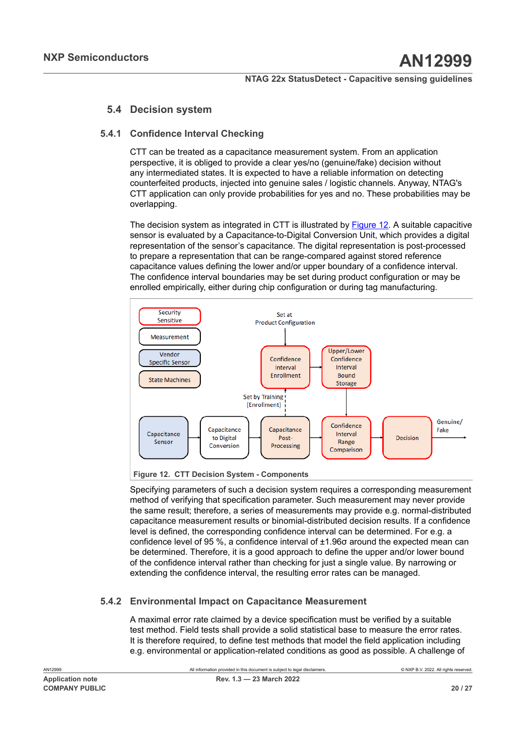## <span id="page-19-2"></span>**5.4 Decision system**

## **5.4.1 Confidence Interval Checking**

<span id="page-19-0"></span>CTT can be treated as a capacitance measurement system. From an application perspective, it is obliged to provide a clear yes/no (genuine/fake) decision without any intermediated states. It is expected to have a reliable information on detecting counterfeited products, injected into genuine sales / logistic channels. Anyway, NTAG's CTT application can only provide probabilities for yes and no. These probabilities may be overlapping.

The decision system as integrated in CTT is illustrated by [Figure 12](#page-19-1). A suitable capacitive sensor is evaluated by a Capacitance-to-Digital Conversion Unit, which provides a digital representation of the sensor's capacitance. The digital representation is post-processed to prepare a representation that can be range-compared against stored reference capacitance values defining the lower and/or upper boundary of a confidence interval. The confidence interval boundaries may be set during product configuration or may be enrolled empirically, either during chip configuration or during tag manufacturing.

<span id="page-19-1"></span>

**Figure 12. CTT Decision System - Components**

Specifying parameters of such a decision system requires a corresponding measurement method of verifying that specification parameter. Such measurement may never provide the same result; therefore, a series of measurements may provide e.g. normal-distributed capacitance measurement results or binomial-distributed decision results. If a confidence level is defined, the corresponding confidence interval can be determined. For e.g. a confidence level of 95 %, a confidence interval of ±1.96σ around the expected mean can be determined. Therefore, it is a good approach to define the upper and/or lower bound of the confidence interval rather than checking for just a single value. By narrowing or extending the confidence interval, the resulting error rates can be managed.

## **5.4.2 Environmental Impact on Capacitance Measurement**

<span id="page-19-3"></span>A maximal error rate claimed by a device specification must be verified by a suitable test method. Field tests shall provide a solid statistical base to measure the error rates. It is therefore required, to define test methods that model the field application including e.g. environmental or application-related conditions as good as possible. A challenge of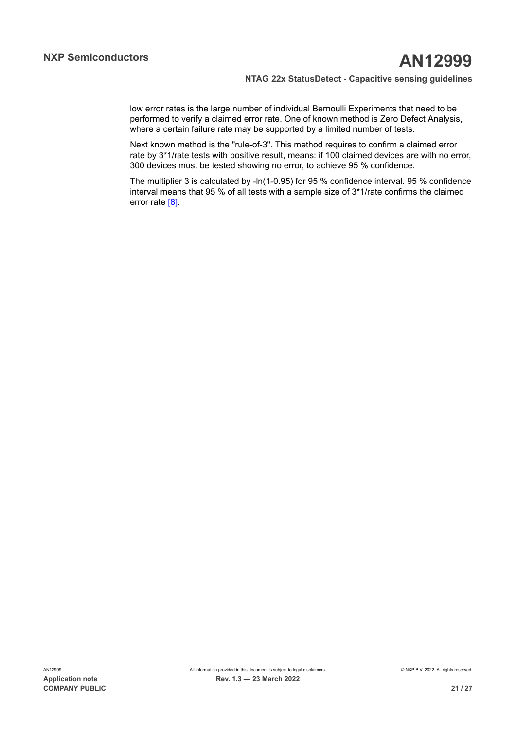low error rates is the large number of individual Bernoulli Experiments that need to be performed to verify a claimed error rate. One of known method is Zero Defect Analysis, where a certain failure rate may be supported by a limited number of tests.

Next known method is the "rule-of-3". This method requires to confirm a claimed error rate by 3\*1/rate tests with positive result, means: if 100 claimed devices are with no error, 300 devices must be tested showing no error, to achieve 95 % confidence.

The multiplier 3 is calculated by -ln(1-0.95) for 95 % confidence interval. 95 % confidence interval means that 95 % of all tests with a sample size of 3\*1/rate confirms the claimed error rate [\[8\].](#page-22-7)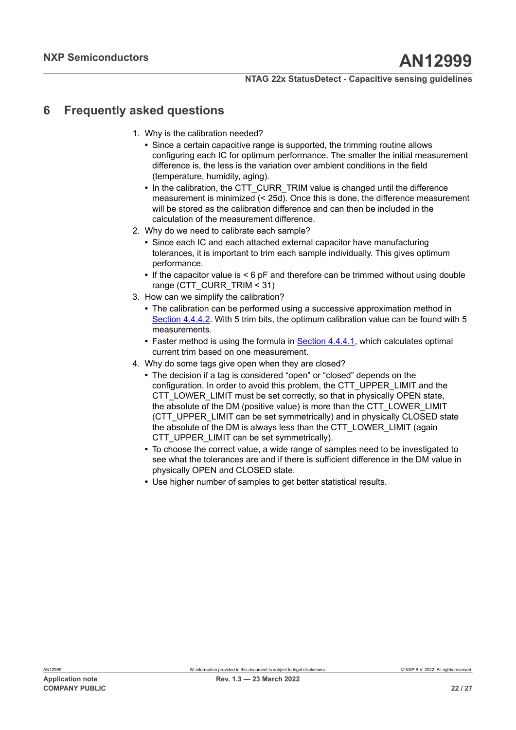## <span id="page-21-0"></span>**6 Frequently asked questions**

- 1. Why is the calibration needed?
	- **•** Since a certain capacitive range is supported, the trimming routine allows configuring each IC for optimum performance. The smaller the initial measurement difference is, the less is the variation over ambient conditions in the field (temperature, humidity, aging).
	- In the calibration, the CTT\_CURR\_TRIM value is changed until the difference measurement is minimized (< 25d). Once this is done, the difference measurement will be stored as the calibration difference and can then be included in the calculation of the measurement difference.
- 2. Why do we need to calibrate each sample?
	- **•** Since each IC and each attached external capacitor have manufacturing tolerances, it is important to trim each sample individually. This gives optimum performance.
	- **•** If the capacitor value is < 6 pF and therefore can be trimmed without using double range (CTT\_CURR\_TRIM < 31)
- 3. How can we simplify the calibration?
	- **•** The calibration can be performed using a successive approximation method in [Section 4.4.4.2](#page-9-1). With 5 trim bits, the optimum calibration value can be found with 5 measurements.
	- **•** Faster method is using the formula in [Section 4.4.4.1](#page-9-3), which calculates optimal current trim based on one measurement.
- 4. Why do some tags give open when they are closed?
	- **•** The decision if a tag is considered "open" or "closed" depends on the configuration. In order to avoid this problem, the CTT\_UPPER\_LIMIT and the CTT\_LOWER\_LIMIT must be set correctly, so that in physically OPEN state, the absolute of the DM (positive value) is more than the CTT\_LOWER\_LIMIT (CTT\_UPPER\_LIMIT can be set symmetrically) and in physically CLOSED state the absolute of the DM is always less than the CTT\_LOWER\_LIMIT (again CTT\_UPPER\_LIMIT can be set symmetrically).
	- **•** To choose the correct value, a wide range of samples need to be investigated to see what the tolerances are and if there is sufficient difference in the DM value in physically OPEN and CLOSED state.
	- **•** Use higher number of samples to get better statistical results.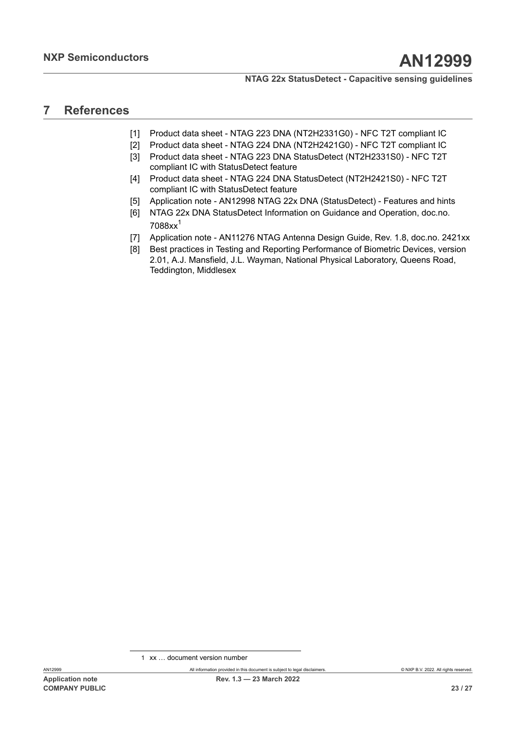## <span id="page-22-9"></span>**7 References**

- <span id="page-22-0"></span>[1] Product data sheet - NTAG 223 DNA (NT2H2331G0) - NFC T2T compliant IC
- <span id="page-22-1"></span>[2] Product data sheet - NTAG 224 DNA (NT2H2421G0) - NFC T2T compliant IC
- <span id="page-22-2"></span>[3] Product data sheet - NTAG 223 DNA StatusDetect (NT2H2331S0) - NFC T2T compliant IC with StatusDetect feature
- <span id="page-22-3"></span>[4] Product data sheet - NTAG 224 DNA StatusDetect (NT2H2421S0) - NFC T2T compliant IC with StatusDetect feature
- <span id="page-22-6"></span>[5] Application note - AN12998 NTAG 22x DNA (StatusDetect) - Features and hints
- <span id="page-22-4"></span>[6] NTAG 22x DNA StatusDetect Information on Guidance and Operation, doc.no. 7088xx[1](#page-22-8)
- <span id="page-22-5"></span>[7] Application note - AN11276 NTAG Antenna Design Guide, Rev. 1.8, doc.no. 2421xx
- <span id="page-22-7"></span>[8] Best practices in Testing and Reporting Performance of Biometric Devices, version 2.01, A.J. Mansfield, J.L. Wayman, National Physical Laboratory, Queens Road, Teddington, Middlesex

<span id="page-22-8"></span><sup>1</sup> xx … document version number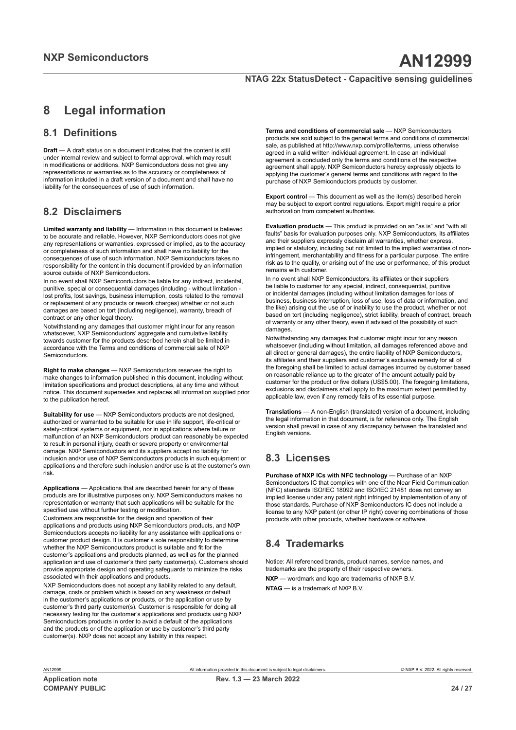## <span id="page-23-0"></span>**8 Legal information**

## **8.1 Definitions**

**Draft** — A draft status on a document indicates that the content is still under internal review and subject to formal approval, which may result in modifications or additions. NXP Semiconductors does not give any representations or warranties as to the accuracy or completeness of information included in a draft version of a document and shall have no liability for the consequences of use of such information.

## **8.2 Disclaimers**

**Limited warranty and liability** — Information in this document is believed to be accurate and reliable. However, NXP Semiconductors does not give any representations or warranties, expressed or implied, as to the accuracy or completeness of such information and shall have no liability for the consequences of use of such information. NXP Semiconductors takes no responsibility for the content in this document if provided by an information source outside of NXP Semiconductors.

In no event shall NXP Semiconductors be liable for any indirect, incidental, punitive, special or consequential damages (including - without limitation lost profits, lost savings, business interruption, costs related to the removal or replacement of any products or rework charges) whether or not such damages are based on tort (including negligence), warranty, breach of contract or any other legal theory.

Notwithstanding any damages that customer might incur for any reason whatsoever, NXP Semiconductors' aggregate and cumulative liability towards customer for the products described herein shall be limited in accordance with the Terms and conditions of commercial sale of NXP **Semiconductors** 

**Right to make changes** — NXP Semiconductors reserves the right to make changes to information published in this document, including without limitation specifications and product descriptions, at any time and without notice. This document supersedes and replaces all information supplied prior to the publication hereof.

**Suitability for use** — NXP Semiconductors products are not designed. authorized or warranted to be suitable for use in life support, life-critical or safety-critical systems or equipment, nor in applications where failure or malfunction of an NXP Semiconductors product can reasonably be expected to result in personal injury, death or severe property or environmental damage. NXP Semiconductors and its suppliers accept no liability for inclusion and/or use of NXP Semiconductors products in such equipment or applications and therefore such inclusion and/or use is at the customer's own risk.

**Applications** — Applications that are described herein for any of these products are for illustrative purposes only. NXP Semiconductors makes no representation or warranty that such applications will be suitable for the specified use without further testing or modification.

Customers are responsible for the design and operation of their applications and products using NXP Semiconductors products, and NXP Semiconductors accepts no liability for any assistance with applications or customer product design. It is customer's sole responsibility to determine whether the NXP Semiconductors product is suitable and fit for the customer's applications and products planned, as well as for the planned application and use of customer's third party customer(s). Customers should provide appropriate design and operating safeguards to minimize the risks associated with their applications and products.

NXP Semiconductors does not accept any liability related to any default, damage, costs or problem which is based on any weakness or default in the customer's applications or products, or the application or use by customer's third party customer(s). Customer is responsible for doing all necessary testing for the customer's applications and products using NXP Semiconductors products in order to avoid a default of the applications and the products or of the application or use by customer's third party customer(s). NXP does not accept any liability in this respect.

**Terms and conditions of commercial sale** — NXP Semiconductors products are sold subject to the general terms and conditions of commercial sale, as published at http://www.nxp.com/profile/terms, unless otherwise agreed in a valid written individual agreement. In case an individual agreement is concluded only the terms and conditions of the respective agreement shall apply. NXP Semiconductors hereby expressly objects to applying the customer's general terms and conditions with regard to the purchase of NXP Semiconductors products by customer.

**Export control** — This document as well as the item(s) described herein may be subject to export control regulations. Export might require a prior authorization from competent authorities.

**Evaluation products** — This product is provided on an "as is" and "with all faults" basis for evaluation purposes only. NXP Semiconductors, its affiliates and their suppliers expressly disclaim all warranties, whether express, implied or statutory, including but not limited to the implied warranties of noninfringement, merchantability and fitness for a particular purpose. The entire risk as to the quality, or arising out of the use or performance, of this product remains with customer.

In no event shall NXP Semiconductors, its affiliates or their suppliers be liable to customer for any special, indirect, consequential, punitive or incidental damages (including without limitation damages for loss of business, business interruption, loss of use, loss of data or information, and the like) arising out the use of or inability to use the product, whether or not based on tort (including negligence), strict liability, breach of contract, breach of warranty or any other theory, even if advised of the possibility of such damages.

Notwithstanding any damages that customer might incur for any reason whatsoever (including without limitation, all damages referenced above and all direct or general damages), the entire liability of NXP Semiconductors, its affiliates and their suppliers and customer's exclusive remedy for all of the foregoing shall be limited to actual damages incurred by customer based on reasonable reliance up to the greater of the amount actually paid by customer for the product or five dollars (US\$5.00). The foregoing limitations, exclusions and disclaimers shall apply to the maximum extent permitted by applicable law, even if any remedy fails of its essential purpose.

**Translations** — A non-English (translated) version of a document, including the legal information in that document, is for reference only. The English version shall prevail in case of any discrepancy between the translated and English versions.

## **8.3 Licenses**

**Purchase of NXP ICs with NFC technology** — Purchase of an NXP Semiconductors IC that complies with one of the Near Field Communication (NFC) standards ISO/IEC 18092 and ISO/IEC 21481 does not convey an implied license under any patent right infringed by implementation of any of those standards. Purchase of NXP Semiconductors IC does not include a license to any NXP patent (or other IP right) covering combinations of those products with other products, whether hardware or software.

## **8.4 Trademarks**

Notice: All referenced brands, product names, service names, and trademarks are the property of their respective owners.

**NXP** — wordmark and logo are trademarks of NXP B.V.

**NTAG** — is a trademark of NXP B.V.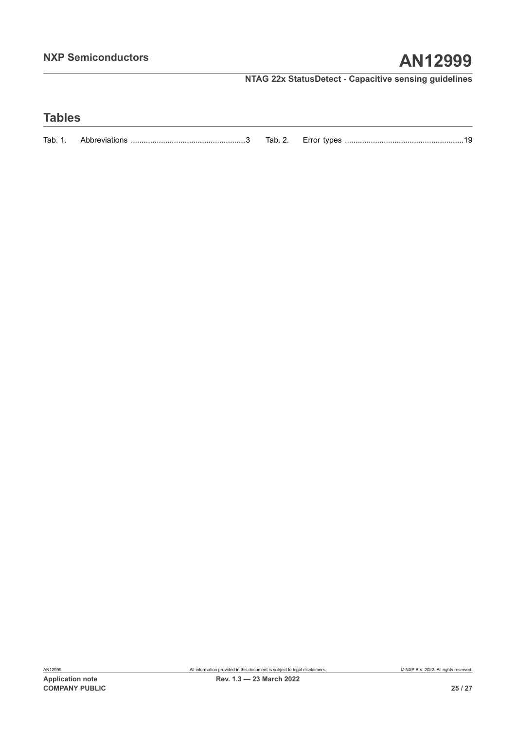## **Tables**

| Tab. 1. | Tab. z. |  |
|---------|---------|--|
|         |         |  |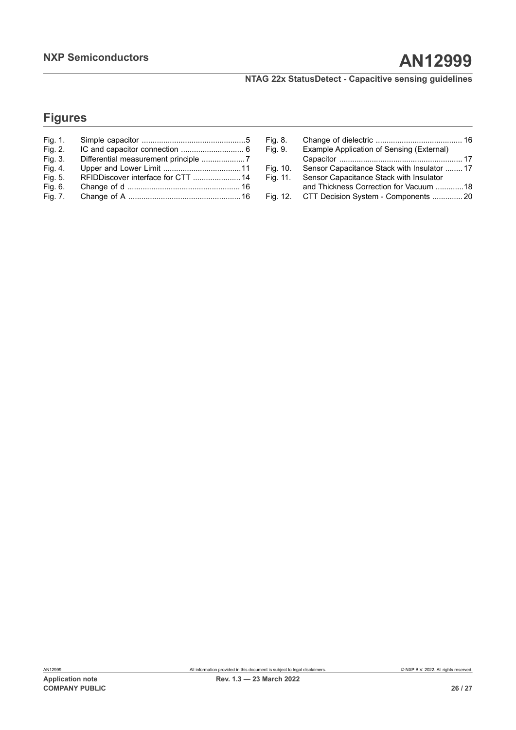## **Figures**

| Fig. 1. |                                    |  |
|---------|------------------------------------|--|
| Fig. 2. |                                    |  |
| Fig. 3. |                                    |  |
| Fig. 4. |                                    |  |
| Fig. 5. | RFIDDiscover interface for CTT  14 |  |
| Fig. 6. |                                    |  |
| Fig. 7. |                                    |  |

| Sensor Capacitance Stack with Insulator  17 |
|---------------------------------------------|
|                                             |
| and Thickness Correction for Vacuum 18      |
| CTT Decision System - Components 20         |
|                                             |